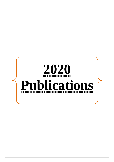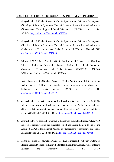# **COLLEGE OF COMPUTER SCIENCE & INFORMATION SCIENCE**

- 1. Vinayachandra, & Krishna Prasad, K. (2020). Application of IoT in the Development of Intelligent Education System – A Thematic Literature Review. International Journal of Management, Technology, and Social Sciences (IJMTS), 5(1), 124- 146. DOI: [http://doi.org/10.5281/zenodo.3775850.](http://doi.org/10.5281/zenodo.3775850)
- 2. Vinayachandra, & Krishna Prasad, K. (2020). Application of IoT in the Development of Intelligent Education System – A Thematic Literature Review. International Journal of Management, Technology, and Social Sciences (IJMTS), 5(1), 124-146. DOI: [http://doi.org/10.5281/zenodo.3775850.](http://doi.org/10.5281/zenodo.3775850)
- 3. Rajeshwari, M. &Krishna Prasad, K. (2020). Application of IoT in Analyzing Cognitive Skills of Students-A Systematic Literature Review. International Journal of Management, Technology, and Social Sciences (IJMTS), 5(1), 158-184. DOI:http:http://doi.org/10.5281/zenodo.3821143
- 4. Geetha Poornima, K. &Krishna Prasad, K. (2020). Application of IoT in Predictive Health Analysis– A Review of Literature. International Journal of Management, Technology, and Social Sciences (IJMTS), 5(1), 185-214. DOI: <http://doi.org/10.5281/zenodo.3821147>
- 5. Vinayachandra, K., Geetha Poornima, M., Rajeshwari & Krishna Prasad, K. (2020). Role of Technology in the Development of Smart and Secure Public Voting Systems – a Review of Literatures. International Journal of Management, Technology, and Social Sciences (IJMTS), 5(1), 298-317. DOI:<http://doi.org/10.5281/zenodo.3934439>
- 6. Vinayachandra, K., Geetha Poornima, M., Rajeshwari & Krishna Prasad, K. (2020). A Conceptual Framework for the Integrated, Smart and Secure Remote Public Voting System (SSRPVS). International Journal of Management, Technology, and Social Sciences (IJMTS), 5(1), 318-334. DOI:<http://doi.org/10.5281/zenodo.3934459>
- 7. Geetha Poornima, K. &Krishna Prasad, K. (2020). Integrated Prediction System for Chronic Disease Diagnosis to Ensure Better Healthcare. International Journal of Health Sciences and Pharmacy (IJHSP),  $4(1)$ , 25-39.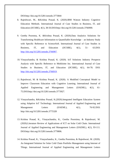DOI:http://doi.org/10.5281/zenodo.3773844

- 8. Rajeshwari, M., &Krishna Prasad, K. (2020).IBM Watson Industry Cognitive Education Methods. International Journal of Case Studies in Business, IT, and Education (IJCSBE), 4(1), 38-50.DOI:http://doi.org/10.5281/zenodo.3766900.
- 9. Geetha Poornma, K. &Krishna Prasad, K. (2020).Data Analytics Solutions for Transforming Healthcare Information to Quantifiable Knowledge – an Industry Study with Specific Reference to ScienceSoft. International Journal of Case Studies in Business, IT, and Education (IJCSBE), 4(1), 51- 63.DOI: [http://doi.org/10.5281/zenodo.3766907.](http://doi.org/10.5281/zenodo.3766907)
- 10. Vinayachandra, & Krishna Prasad, K. (2020). IoT Solutions Industry Prospects Analysis with Specific Reference to Mobiloitte Inc. International Journal of Case Studies in Business, IT, and Education (IJCSBE), 4(1), 64-78. DOI: [http://doi.org/10.5281/zenodo.3766919.](http://doi.org/10.5281/zenodo.3766919)
- 11. Rajeshwari, M. & Krishna Prasad, K. (2020). A Modified Conceptual Model to Improve Classroom Education with Cognitive Learning. International Journal of Applied Engineering and Management Letters (IJAEML), 4(1), 61- 75.DOI:http://doi.org/10.5281/zenodo.3773927.
- 12. Vinayachandra, &Krishna Prasad, K.(2020).Integrated Intelligent Education System using Adaptive IoT Technology. International Journal of Applied Engineering and Management Letters (IJAEML), 4(1), 76-92.DOI: http://doi.org/10.5281/zenodo.3775328
- 13. Krishna Prasad, K., Vinayachandra, K., Geetha Poornima, & Rajeshwari, M. (2020).Literature Review of Applications of ICT on Solar Cold Chain. International Journal of Applied Engineering and Management Letters (IJAEML), 4(1), 93-111. DOI:http://doi.org/10.5281/zenodo.3779806.
- 14. Krishna Prasad, K., Vinayachandra, K., Geetha Poornima, & Rajeshwari, M. (2020). An Integrated Solution for Solar Cold Chain Portfolio Management using Internet of Things. International Journal of Applied Engineering and Management Letters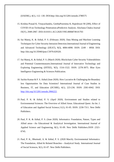(IJAEML), 4(1), 112- 130. DOI:http://doi.org/10.5281/zenodo.3780575

- 15. Krishna Prasad K, Vinayachandra, GeethaPoornima K, Rajeshwari M (200), Effect of COVID-19 on Technology Penetration:aPredictive Analysis. Alochana Chakra Journal IX(V), 2949-2967. DOI:10.01011.ACJ.2020.V9I5.00068749.01703
- 16. Sai Manoj, K. & Aithal, P. S. (February 2020). Data Mining and Machine Learning Techniques for Cyber Security Intrusion Detection.International Journal of Engineering and Advanced Technology (IJEAT), 9(3), 4084-4090. ISSN: 2249 – 8958. DOI: http://doi.org/10.35940/ijeat.C5979.029320.
- 17. Sai Manoj, K. & Aithal, P. S. (March 2020). Blockchain Cyber Security Vulnerabilities and Potential Countermeasures.International Journal of Innovative Technology and Exploring Engineering (IJITEE), 9(5), 1516-1522. ISSN: 2278-3075. Blue Eyes Intelligence Engineering & Sciences Publication.
- 18. Sachin Kumar & P. S. Aithal (June 2020). How Lucrative & Challenging the Boundary less Opportunities for Data Scientists? International Journal of Case Studies in Business, IT, and Education (IJCSBE), 4(1), 223-236. ISSN: 2581-6942. DOI: [http://doi.org/10.5281/zenodo.3966222.](http://doi.org/10.5281/zenodo.3966222)
- 19. Paul, P. K. & Aithal, P. S. (April 2020). Environment and Studies related to Environmental Sciences: The Overview of Allied Areas. Educational Quest: An Int. J. of Education and Applied Social Science,11(1), 01-05. ISSN: 2230-7311. New Delhi Publishers.
- 20. Paul, P. K. & Aithal, P. S. (June 2020). Informatics: Foundation, Nature, Types and Allied areas—An Educational & Analytical Investigation. International Journal of Applied Science and Engineering, 8(1), 01-09. New Delhi Publishers.ISSN :2321- 0745.
- 21. Paul, P. K., Bhuimali, A. & Aithal, P. S. (2020 March). Environmental Informatics: The Foundation, Allied & Related Branches—Analytical Study. International Journal of Social Sciences, 9(1), 01-07. New Delhi Publishers.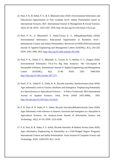- 22. Paul, P. K. & Aithal, P. S., & A. Bhuimali (June 2020). Environmental Informatics and Educational Opportunities in Post Graduate level—Indian Potentialities based on International Scenario. IRA- International Journal of Management & Social Sciences, 16(2), 45-58. ISSN : 2455-2267. DOI: http://dx.doi.org/10.21013/jmss.v16.n2.p2.
- 23. Paul, P. K., A. Bhuimali,P. S. Aithal,Tiwary K. S., &RipuRanjanSinha (2020). Environmental Informatics: Educational Opportunities at Bachelors level— International Context and Indian Potentialities. Reviewed on 04/06/2020.International Journal of Applied Engineering and Management Letters (IJAEML), 4(1), 243-256. ISSN: 2581-7000. DOI: [http://doi.org/10.5281/zenodo.3911596.](http://doi.org/10.5281/zenodo.3911596)
- 24. Paul, P. K., Aithal, P. S., Bhuimali, A., Tiwary, K. S., &Deka, G. C. (August 2020). Environmental Informatics Vis-à-Vis Big Data Analytics: The Geo-Spatial & Sustainable Solutions. International Journal of Applied Engineering and Management Letters (IJAEML), 4(2), 31-40. ISSN: 2581- 7000.DOI: [http://doi.org/10.5281/zenodo.3977275.](http://doi.org/10.5281/zenodo.3977275)
- 25. Paul1, P. K., Aithal P. S., Sinha, R. R., Ricardo Saavedra, BashiruAremu (June 2020). Agro Informatics with its Various Attributes and Emergence: Emphasizing Potentiality as a Specialization in Agricultural Sciences — A Policy Framework. IRA International Journal of Applied Sciences, 14(4), 34-44. (ISSN 2455-4499), DOI: [http://dx.doi.org/10.21013/jas.v14.n4.p1.](http://dx.doi.org/10.21013/jas.v14.n4.p1)
- 26. P. K. Paul, R. R. Sinha, P. S. Aithal, Ricardo Saavedra,&BashiruAremu (June 2020). Agro Informatics with reference to features, functions and emergence as a discipline in Agricultural Sciences—An Analysis.Asian Journal of Information Science and Technology, 10(1), 41-50, ISSN: 2231-6108.
- 27. P. K. Paul, R. R. Sinha, P. S. Aithal, Ricardo Saavedra, & Bashiru Aremu (June 2020). Agro Informatics Emphasizing its Potentiality as a Full-Fledged Degree Programs: International Context and Indian Potentialities. Asian Journal of Computer Science and Technology, ISSN: 2249-0701 9(1), 19-26.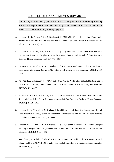### **COLLEGE OF MANAGEMENT & COMMERCE**

- 1. Varambally, K. V. M., Sujaya, H., & Aithal, P. S. (2020). Innovation in Teaching-Learning Process: An Experiment of Srinivas University. International Journal of Case Studies in Business, IT, and Education (IJCSBE), 4(1), 1-7.
- 2. Ganesha, H. R., Aithal, P. S., & Kirubadevi, P. (2020).Short-Term Discounting Frameworks: Insights from Multiple Experiments. International Journal of Case Studies in Business, IT, and Education (IJCSBE), 4(1), 8-22.
- 3. Ganesha, H. R., Aithal, P. S., & Kirubadevi, P. (2020). Input and Output Driven Sales Personnel Performance Measures: Insights from an Experiment. International Journal of Case Studies in Business, IT, and Education (IJCSBE), 4(1), 23-37.
- 4. Ganesha, H. R., Aithal, P. S., & Kirubadevi, P. (2020). Need-Based Sales Pitch: Insights from an Experiment. International Journal of Case Studies in Business, IT, and Education (IJCSBE), 4(1), 78-86.
- 5. Raj, Keerthan., & Aithal, P. S. (2020). The Post COVID-19 World: Efforts Needed to Build Back a More Resilient Society. International Journal of Case Studies in Business, IT, and Education (IJCSBE), 4(1), 88-93.
- 6. Bhuvana, R. & Aithal, P. S. (2020).Blockchain based Service: A Case Study on IBM Blockchain Services &Hyperledger Fabric. International Journal of Case Studies in Business, IT, and Education (IJCSBE), 4(1), 94-102.
- 7. Ganesha, H. R., Aithal, P. S. & Kirubadevi, P. (2020).Impact of Store Size Reduction on Overall Store Performance – Insights from an Experiment.International Journal of Case Studies in Business, IT, and Education (IJCSBE), 4(1), 103-111.
- 8. Ganesha, H. R., Aithal, P. S. & Kirubadevi, P. (2020).Optimal Category Mix in Multi-Category Retailing – Insights from an Experiment.International Journal of Case Studies in Business, IT, and Education (IJCSBE), 4(1), 112-126.
- 9. Itagi, Gururaj, & Aithal, P. S. (2020).A Study on the Future of World Leader's Behaviour towards Global Health after COVID-19.International Journal of Case Studies in Business, IT, and Education (IJCSBE), 4(1), 127-135.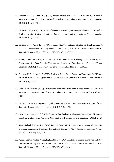- 10. Ganesha, H. R., & Aithal, P. S. (2020).Rational Distribution Channel Mix for Lifestyle Brands in India – An Empirical Study.International Journal of Case Studies in Business, IT, and Education (IJCSBE), 4(1), 136-154.
- 11. Ganesha, H. R., Aithal, P. S. (2020). Sales Personnel Training An Integrated Framework for Indian Brick-and-Mortar Retailers.International Journal of Case Studies in Business, IT, and Education (IJCSBE), 4(1), 172-187.
- 12. Ganesha, H. R., Aithal, P. S. (2020). Measuring the True Potential of Lifestyle Brands in India: A Consumer-Level Scale for Existing and Potential Investors(CL-LBSi). International Journal of Case Studies in Business, IT, and Education (IJCSBE), 4(1), 207-222.
- 13. Kumar, Sachin & Aithal, P. S. (2020). How Lucrative & Challenging the Boundary less Opportunities for Data Scientists?.International Journal of Case Studies in Business, IT, and Education (IJCSBE), 4(1), 223-236. DOI:<http://doi.org/10.5281/zenodo.3966222>
- 14. Ganesha, H. R., Aithal, P. S. (2020). Exclusive Brand Outlet Expansion Framework for Lifestyle Brands in India (EBOE-LS).International Journal of Case Studies in Business, IT, and Education (IJCSBE), 4(2), 1-17.
- 15. Krithi, & Pai, Ramesh. (2020). Diversity and Inclusion: Key to Improve Productivity A Case Study on WIPRO. International Journal of Case Studies in Business, IT, and Education (IJCSBE), 4(2), 18-27.
- 16. Hebbar, C. K. (2020). Impact of Digital India on Education System, International Journal of Case Studies in Business, IT, and Education (IJCSBE), 4(2), 65-70.
- 17. Pavithra, K. & Aithal, P. S. (2020), Growth & Fate Analysis of Mangalore International Airport A Case Study, International Journal of Case Studies in Business, IT, and Education (IJCSBE), 4(2), 71-85.
- 18. Sony, Michael, & Aithal, P. S. (2020). Practical Lessons for Engineers to adapt towards Industry 4.0 in Indian Engineering Industries. International Journal of Case Studies in Business, IT, and Education (IJCSBE), 4(2), 86-97.
- 19. Kumar., Sachin, Krishna Prasad, K., & Aithal, P. S. (2020). A Study on Customer Analytics Initiative (WCAI) and its Impact on the Brand of Wharton Business School. International Journal of Case Studies in Business, IT, and Education (IJCSBE), 4(2), 98-109.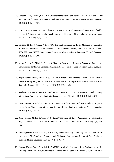- 20. Ganesha, H. R., &Aithal, P. S. (2020). Extending the Margin of Safety Concept to Brick-and Mortar Retailing in India (MoSR-b). International Journal of Case Studies in Business, IT, and Education (IJCSBE), 4(2), 117-131.
- 21. Mishra, Anjay Kumar, Sah., Ram Chandra, & Aithal, P. S. (2020). Operational Assessment of Public Transport: A Case of Kathmandu, Nepal. International Journal of Case Studies in Business, IT, and Education (IJCSBE), 4(2), 132-152.
- 22. Ganesha, H. R., & Aithal, P. S. (2020). The Implicit Impact on Retail Management Education /Research in India Owing to Favoritism in the Recruitment of Faculty Members at IIMs, IITs, NITs, IIITs, IISc, and NITIE. International Journal of Case Studies in Business, IT, and Education (IJCSBE), 4(2), 153-168.
- 23. Varun Shenoy & Aithal, P. S. (2020).Literature Survey and Research Agenda of Entry Level Competencies for Private Banking Jobs. International Journal of Case Studies in Business, IT, and Education (IJCSBE), 4(2), 176-192.
- 24. Anjay Kumar Mishra, Aithal, P. S. and Hamid Saremi (2020).Financial Mobilization Status of People Housing Program; A case of Rupandehi District of Nepal. International Journal of Case Studies in Business, IT, and Education (IJCSBE), 4(2), 193-202.
- 25. Shailashri V.T. and Kariappa Anumesh (2020). Social Engagement: A means to Brand Building. International Journal of Case Studies in Business, IT, and Education (IJCSBE), 4(2), 212-219.
- 26. PavithraKumari & Aithal P. S. (2020).An Overview of the Aviation Industry in India with Special Emphasis on Privatization. International Journal of Case Studies in Business, IT, and Education (IJCSBE), 4(2), 220-228.
- 27. Anjay Kumar Mishra &Aithal P. S. (2020).Operation of Price Adjustment in Construction Projects.International Journal of Case Studies in Business, IT, and Education (IJCSBE), 4(2), 229- 249.
- 28. Shubhrajyotsna Aithal & Aithal, P. S. (2020). Nanotechnology based Mega Machine Design for Large Scale Air Cleaning – Prospects and Challenges. International Journal of Case Studies in Business, IT, and Education (IJCSBE), 4(2), 250-269.
- 29. Pradeep Kumar Rangi & Aithal, P. S. (2020). Academic Institutions Risk Decisions using Six Thinking Hats Based Analysis. International Journal of Case Studies in Business, IT, and Education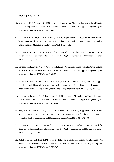(IJCSBE), 4(2), 270-279.

- 30. Mathew, C. D. & Aithal, P. S. (2020).Behaviour Modification Model for Improving Social Capital and Fostering Eclectic Theories of Economics. International Journal of Applied Engineering and Management Letters (IJAEML), 4(1), 1-9.
- 31. Ganesha, H. R., Aithal, P. S., & Kirubadevi, P. (2020). Experimental Investigation of Cannibalisation by Introducing a Global Brand Abreast Existing Indian Store Brand. International Journal of Applied Engineering and Management Letters (IJAEML), 4(1), 10-19.
- 32. Ganesha, H. R., Aithal, P. S., & Kirubadevi, P. (2020). Decentralized Discounting Framework: Insights from an Experiment. International Journal of Applied Engineering and Management Letters (IJAEML), 4(1), 20-40.
- 33. Ganesha, H. R., Aithal, P. S., & Kirubadevi, P. (2020). An Integrated Framework to Derive Optimal Number of Sales Personnel for a Retail Store. International Journal of Applied Engineering and Management Letters (IJAEML), 4(1), 41-50.
- 34. Bhuvana, R., Madhushree, L. M. & Aithal, P. S. (2020). Blockchain as a Disruptive Technology in Healthcare and Financial Services - A Review based Analysis on Current Implementations. International Journal of Applied Engineering and Management Letters (IJAEML), 4(1), 142-155.
- 35. Ganesha, H. R., Aithal, P. S. & Kirubadevi, P. (2020). Consumer Affordability in Tier-1, Tier-2 and Tier-3 Cities of India – An Empirical Study. International Journal of Applied Engineering and Management Letters (IJAEML), 4(1), 156-171.
- 36. Paul, P. K., Ricardo, Saavedra., Aithal, P. S., Bashiru, Aremu & Baby, Pappachan. (2020). Cloud Service Providers: An Analysis of Some Emerging Organizations and Industries. International Journal of Applied Engineering and Management Letters (IJAEML), 4(1), 172-183.
- 37. Ganesha, H. R., Aithal, P. S. & Kirubadevi, P. (2020). Integrated Marketing Mix Framework for Baby Care Retailing in India. International Journal of Applied Engineering and Management Letters (IJAEML), 4(1), 191-218.
- 38. Aithal, P. S., Grice, Richard, & Dillon, Mike. (2020). Solar Cold Chain Optimization Research An Integrated Multidisciplinary Project Agenda. International Journal of Applied Engineering and Management Letters (IJAEML), 4(1), 226-242.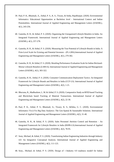- 39. Paul, P. K., Bhuimali, A., Aithal, P. S., K. S., Tiwary, & Sinha, RipuRanjan. (2020). Environmental Informatics: Educational Opportunities at Bachelors level - International Context and Indian Potentialities. International Journal of Applied Engineering and Management Letters (IJAEML), 4(1), 243-256.
- 40. Ganesha, H. R., & Aithal, P. S. (2020). Organizing the Unorganized Lifestyle Retailers in India: An Integrated Framework. International Journal of Applied Engineering and Management Letters (IJAEML), 4(1), 257-278.
- 41. Ganesha, H. R., & Aithal, P. S. (2020). Measuring the True Potential of Lifestyle Brands in India: A Firm-Level Scale for Existing and Potential Investors - (FL-LBSi).International Journal of Applied Engineering and Management Letters (IJAEML), 4(1), 279-302.
- 42. Ganesha, H. R., & Aithal, P. S. (2020). Retailing Performance Evaluation Scale for Indian Brickand-Mortar Lifestyle Retailers (LSRS-b). International Journal of Applied Engineering and Management Letters (IJAEML), 4(1), 303-322.
- 43. Ganesha, H. R., Aithal, P. S. (2020). Consumer Communication Deployment Tactics: An Integrated Framework for Lifestyle Brands and Retailers in India (CCF-LS). International Journal of Applied Engineering and Management Letters (IJAEML), 4(2), 1-21.
- 44. Bhuvana, R., Madhushree, L. M. & Aithal, P. S. (2020). Comparative Study on RFID based Tracking and Blockchain based Tracking of Material Transactions. International Journal of Applied Engineering and Management Letters (IJAEML), 4(2), 22-30.
- 45. Paul, P. K., Aithal, P. S., Bhuimali, A., Tiwary, K. S., &Deka, G. C. (2020). Environmental Informatics Vis-à-Vis Big Data Analytics: The Geo-Spatial & Sustainable Solutions. International Journal of Applied Engineering and Management Letters (IJAEML), 4(2), 31-40.
- 46. Ganesha, H. R., & Aithal, P. S. (2020). Sales Personnel Attrition Control and Retention An Integrated Framework for Lifestyle Retailers in India (RSPR-LS).International Journal of Applied Engineering and Management Letters (IJAEML), 4(2), 78-95.
- 47. Sony, Michael, & Aithal, P. S. (2020). Transforming Indian Engineering Industries through Industry 4.0: An Integrative Conceptual Analysis. International Journal of Applied Engineering and Management Letters (IJAEML), 4(2), 111-123.
- 48. Sony., Michael, & Aithal, P. S. (2020). Design of -Industry 4.0 readiness modell for Indian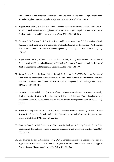Engineering Industry: Empirical Validation Using Grounded Theory Methodology. International Journal of Applied Engineering and Management Letters (IJAEML), 4(2), 124-137.

- 49. Anjay Kumar Mishra, & Aithal, P. S. (2020). Financial Impact Assessment of Time Overrun: A Case of Second Small Towns Water Supply and Sanitation Sector Project, Nepal. International Journal of Applied Engineering and Management Letters (IJAEML), 4(2), 159- 173.
- 50. Ganesha, H. R. & Aithal, P. S. (2020). Attitudes and Perspectives of Key Stakeholders in the Retail Start-ups toward Long-Term and Sustainably Profitable Business Model in India - An Empirical Evaluation. International Journal of Applied Engineering and Management Letters (IJAEML), 4(2), 174-187.
- 51. Anjay Kumar Mishra, Rabindra Kumar Yadav & Aithal, P. S. (2020). Economic Operation of Cement: A Case of Gautam Buddha Airport Upgrading Component Project. International Journal of Applied Engineering and Management Letters (IJAEML), 4(2), 188-199.
- 52. Sachin Kumar, Devanshu Dube, Krishna Prasad, K. & Aithal, P. S. (2020). Emerging Concept of Tech-Business-Analytics an Intersection of IoT& Data Analytics and its Applications on Predictive Business Decisions. International Journal of Applied Engineering and Management Letters (IJAEML), 4(2), 200-210.
- 53. Ganesha, H. R., & Aithal, P. S., (2020). Artificial Intelligence-Based Consumer Communication by Brick-and-Mortar Retailers in India Leading to Syllogistic Fallacy and Trap – Insights from an Experiment. International Journal of Applied Engineering and Management Letters (IJAEML), 4(2), 211-221.
- 54. Aithal, Shubhrajyotsna & Aithal, P. S. (2020). Chemical Additive Cascading System A new Scheme for Enhancing Optical Nonlinearity. International Journal of Applied Engineering and Management Letters (IJAEML), 4(2), 222-236.
- 55. Dipak S. Gade & Aithal, P. S. (2020). Blockchain Technology: A Driving Force in Smart Cities Development. International Journal of Applied Engineering and Management Letters (IJAEML), 4(2), 237-252.
- 56. Lata Narayan Hegde, & Shailashri V. T., (2020). Conceptualization of e-Learning Theories and Approaches in the context of Further and Higher Education. International Journal of Applied Engineering and Management Letters (IJAEML), 4(2), 253-264.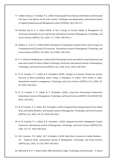- 57. Sridhar Acharya, P., &Aithal, P. S., (2020). Retaining the Power Backup of the Battery and Increased Life Span of the Battery for the Solar System- Challenges and Opportunities. International Journal of Applied Engineering and Management Letters (IJAEML), 4(2), 265-274.
- 58. Keerthan Raj & P. S. Aithal (2020). A New Concept of Circular Model of Management for Achieving Sustainable Success and Growth. International Journal of Management, Technology, and Social Sciences (IJMTS). 5(1), 2020. 1-17. ISSN: 2581-6012 z
- 59. Mathew C. D. & P. S. Aithal (2020). Retrospective Experiential Learning Theory and its Impact on Countering Social Exclusion in Ecotourism. International Journal of Management, Technology, and Social Sciences (IJMTS). 5(1) 2020. 18-23 ISSN: 2581-6012.
- 60. P. S. Aithal & Shubhrajyotsna Aithal (2020). Promoting Faculty and Student-Centered Research and Innovation based Excellence Model to Reimage Universities International Journal of Management, Technology, and Social Sciences (IJMTS), 5(1), 2020, 24-42. ISSN: 2581-6012.
- 61. H. R. Ganesha, P. S. Aithal, & P. Kirubadevi (2020). Changes in Consumer Perspective towards Discount at Brick-and-Mortar Stores owing to Emergence of Online Store Format in India. International Journal of management, Technology, and Social Sciences (IJMTS), 5(1) 1,2020, 43- 83. ISSN: 2581-6012.
- 62. H. R. Ganesha, P. S. Aithal, & P. Kirubadevi (2020). Long-Term Discounting Frameworks: International Journal of Management, Technology, and Social Sciences (IJMTS). 5(1),2020 84-100. ISSN: 2581-6012.
- 63. H. R. Ganesha , P. S. Aithal , & P. Kirubadevi. (2020). Integrated Discounting Framework for Indian Brick-and-Mortar Retailers. International Journal of Management, Technology, and Social Sciences (IJMTS), 5(1), 2020, 110-123. ISSN 2581-6012
- 64. H. R. Ganesha, P. S. Aithal, & P. Kirubadevi. (2020). Integrated Inventory Management Control Framework. International Journal of Management, Technology, and Social Sciences (IJMTS),5(1), 2020, 147-157. ISSN 2581-6012.
- 65. H.R. Ganesha , P.S. Aithal , & P. Kirubadevi. (2020). Ideal Store Locations for Indian Retailers An Empirical Study. International Journal of Management, Technology, and Social Sciences (IJMTS),5(1), 2020, 215-226. ISSN 2581-6012.
- 66. Bhuvana R. & P. S Aithal (2020). RBI Distributed Ledger Technology and Blockchain A Future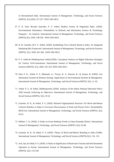of Decentralized India. International Journal of Management, Technology, and Social Sciences (IJMTS), 5(1),2020, 227-237. ISSN 2581-6012

- 67. P. K. Paul, Ricardo Saavedra, P. S. Aithal, Bashiru Aremu, & Pappachan Baby. (2020). Environmental Informatics: Potentialities in iSchools and Information Science & Technology Programs - An Analysis. International Journal of Management, Technology, and Social Sciences (IJMTS),5(1), 2020, 238-250. ISSN 2581-6012.
- 68. H. R. Ganesha ,& P. S. Aithal. (2020). Establishing True Lifestyle Brand in India: An Integrated Marketing Mix Framework. International Journal of Management, Technology, and Social Sciences (IJMTS), 5(1), 2020, 261-284. ISSN 2581-6012,
- 69. P. S. Aithal & Shubhrajyotsna Aithal.(2020). Conceptual Analysis on Higher Education Strategies for Various Tech-Generations. International Journal of Management, Technology, and Social Sciences (IJMTS), 5(1), 2020, 335-353. ISSN 2581-6012.
- 70. Paul, P. K., Aithal, P. S., Bhuimali, A., Tiwary, K. S., Saavera, R., & Aremu, B. (2020). Geo Information Systems & Remote Sensing: Applications in Environmental Systems & Management. International Journal of Management, Technology, and Social Sciences (IJMTS), 5(2), 11-18.
- 71. Aithal, P. S., & Aithal, Shubhrajyotsna (2020). Analysis of the Indian National Education Policy 2020 towards Achieving its Objectives. International Journal of Management, Technology, and Social Sciences (IJMTS), 5(2), 19-41.
- 72. Ganesha, H. R., & Aithal, P. S. (2020). Rational Organizational Structure: For Brick-and-Mortar Lifestyle Retailers in India to Overcome Diseconomies of Scale and Protect Firm's Sustainability (ROLS-b). International Journal of Management, Technology, and Social Sciences (IJMTS), 5(2), 42-61.
- 73. Hebbar, C. K. (2020). A Study on Green Banking Trends in Uttara Kannada District. International Journal of Management, Technology, and Social Sciences (IJMTS), 5(2), 62-68.
- 74. Ganesha, H. R., & Aithal, P. S. (2020). Theory of Brick-and-Mortar Retailing in India (ToRb). International Journal of Management, Technology, and Social Sciences (IJMTS),5(2), 116- 132.
- 75. Jose, Jiju, & Aithal, P. S. (2020). A Study on Significance of Backwater Tourism and Safe Houseboat Operation in Kerala. International Journal of Management, Technology, and Social Sciences (IJMTS), 5(2), 133-140.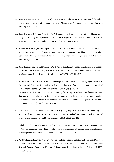- 76. Sony, Michael, & Aithal, P. S. (2020). Developing an Industry 4.0 Readiness Model for Indian Engineering Industries. International Journal of Management, Technology, and Social Sciences (IJMTS), 5(2), 141-153.
- 77. Sony, Michael, & Aithal, P. S. (2020). A Resource-Based View and Institutional Theory-based analysis of Industry 4.0 Implementation in the Indian Engineering Industry. International Journal of Management, Technology, and Social Sciences (IJMTS), 5(2), 154-166.
- 78. Anjay Kumar Mishra, Dinesh Gupta, & Aithal, P. S., (2020). Factors Identification and Conformance of Quality of Cement and Coarse Aggregate used at Gautama Buddha Airport Upgrading Component, Nepal. International Journal of Management, Technology, and Social Sciences (IJMTS), 5(2), 187-200.
- 79. Anjay Kumar Mishra, MeghBahadur K. C. & Aithal, P. S. (2020). Association of Number of Bidders and Minimum Bid Ratio (AEr) with Effect of E-bidding of Different Project. International Journal of Management, Technology, and Social Sciences (IJMTS), 5(2), 201-215.
- 80. Architha Aithal & Aithal P. S. (2020). Development and Validation of Survey Questionnaire & Experimental Data – A Systematical Review-based Statistical Approach. International Journal of Management, Technology, and Social Sciences (IJMTS), 5(2), 233- 251.
- 81. Ganesha, H. R., & Aithal, P. S., (2020). Extending the Concept of Delayed Gratification to Retail Start-ups in India: An Imperative Strategy for the Success, Long-Term Sustainability, and Protection of Founding Members' Majority Shareholding. International Journal of Management, Technology, and Social Sciences (IJMTS), 5(2), 252-265.
- 82. Madhushree L. M., Bhuvana R., and Aithal P. S. (2020). Impact of COVID-19 on Redefining the Services of Educational Institutions using Ubiquitous Technology. International Journal of Management, Technology, and Social Sciences (IJMTS), 5(2), 266-282.
- 83. Aithal, P. S., & Aithal, Shubhrajyotsna (2020). Implementation Strategies of Higher Education Part of National Education Policy 2020 of India towards Achieving its Objectives. International Journal of Management, Technology, and Social Sciences (IJMTS), 5(2), 283- 325.
- 84. Pavithra Kumari & Aithal, P. S., (2020). Stress Inducing Factors and Relevant Strategies Deployed to Overcome Stress in the Aviation Industry Sector – A Systematic Literature Review and Further Research Agendas. International Journal of Management, Technology, and Social Sciences (IJMTS), 5(2), 347-371.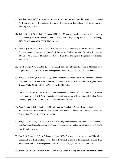- 85. Keerthan Raj & Aithal, P. S., (2020). Impact of Covid-19 on Bottom of the Pyramid Population An Empirical Study. International Journal of Management, Technology, and Social Sciences (IJMTS), 5(2), 380-388.
- 86. SaiManoj, K. & Aithal, P. S. (February 2020). Data Mining and Machine Learning Techniques for Cyber Security Intrusion Detection. International Journal of Engineering and Advanced Technology (IJEAT), 9(3), 4084-4090. ISSN: 2249 – 8958.
- 87. SaiManoj, K. & Aithal, P. S. (March 2020). Blockchain Cyber Security Vulnerabilities and Potential Countermeasures. International Journal of Innovative Technology and Exploring Engineering (IJITEE), 9(5), 1516-1522. ISSN: 2278-3075. Blue Eyes Intelligence Engineering & Sciences Publication.
- 88. Suresh Kumar P. M. & Aithal P. S. (Feb. 2020). Time as a Strategic Resource in Management of Organizations. ICTACT Journal on Management Studies, 6(1), 1138-1143. ICT Academy.
- 89. Paul, P. K. & Aithal, P. S. (April 2020). Environment and Studies related to Environmental Sciences: The Overview of Allied Areas. Educational Quest: An Int. J. of Education and Applied Social Science, 11(1), 01-05. ISSN: 2230-7311. New Delhi Publishers.
- 90. Paul, P. K. & Aithal, P. S. (April 2020). Environment and Studies related to Environmental Sciences: The Overview of Allied Areas. Educational Quest: An Int. J. of Education and Applied Social Science, 11(1), 01-05. ISSN: 2230-7311. New Delhi Publishers.
- 91. Paul, P. K. & Aithal, P. S. (June 2020). Informatics: Foundation, Nature, Types and Allied areas— An Educational & Analytical Investigation. International Journal of Applied Science and Engineering, 8(1), 01-09. ISSN 2321-0745.
- 92. Paul, P. K., Bhuimali, A. & Aithal, P. S. (2020 March). Environmental Informatics: The Foundation, Allied & Related Branches—Analytical Study. International Journal of Social Sciences, 9(1), 01-07. New Delhi Publishers.
- 93. Paul, P. K. & Aithal, P. S., & A. Bhuimali (June 2020). Environmental Informatics and Educational Opportunities in Post Graduate level—Indian Potentialities based on International Scenario. IRA-International Journal of Management & Social Sciences, 16(2), 45-58. ISSN : 2455-2267.
- 94. Aithal, P. S., &Suresh Kumar P. M. (March 2020). Global Ranking and its Implications in Higher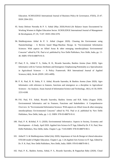Education. SCHOLEDGE International Journal of Business Policy & Governance, 07(03), 25-47. ISSN 2394-3351.

- 95. Sonia Delrose Noronha & P. S. Aithal (May 2020).Work-Life Balance Issues Encountered by Working Women in Higher Education Sector. SCHOLEDGE International Journal of Management & Development, 07, 05, 72-87. ISSN 2394-3378.
- 96. Shubhrajyotsna Aithal & P. S. Aithal (August 2020). Cleaning the Environment using Nanotechnology – A Review based Mega-Machine Design. In "Environmental Information Sciences: With aspects on Allied Areas & other emerging interdisciplinary Environmental Concerns" edited by P.K. Paul et al. published by New Delhi Publishers, New Delhi, India, pp. 13- 40. ISBN: 978-93-88879-91-0.
- 97. Paul, P. K., Aithal P. S., Sinha, R. R., Ricardo Saavedra, Bashiru Aremu (June 2020). Agro Informatics with its Various Attributes and Emergence: Emphasizing Potentiality as a Specialization in Agricultural Sciences — A Policy Framework. IRA International Journal of Applied Sciences,14(4), 34-44. (ISSN: 2455-4499).
- 98. P. K. Paul, R. R. Sinha, P. S. Aithal, Ricardo Saavedra, & Bashiru Aremu (June 2020). Agro Informatics with reference to features, functions and emergence as a discipline in Agricultural Sciences—An Analysis. Asian Journal of Information Science and Technology, 10(1), 41-50, ISSN: 2231-6108.
- 99. P.K. Paul, P.S. Aithal, Ricardo Saavedra, Bashiru Aremu and R.R. Sinha (August 2020). Environmental Informatics and its Features, Functions and Stakeholders: A Comprehensive Overview. In "Environmental Information Sciences: With aspects on Allied Areas & other emerging interdisciplinary Environmental Concerns" edited by P.K. Paul et al. published by New Delhi Publishers, New Delhi, India, pp. 1-12. ISBN: 978-93-88879-91-0.
- 100. Paul, P. K. &Aithal, P. S. (2020). Environmental Informatics: Aspects in Society, Economy and Development—A Study. April 2020. Applied Arts Science In IT Age, Edited by Dr. P. K. Paul, New Delhi Publishers, New Delhi, India. Chapter 5, pp. 73-83.ISBN: 978-93-88879-90-3.
- 101. Aithal P. S. & Shubhrajyotsna Aithal (July 2020). Importance of Arts & Design in Liberal education STEAM model of Higher Education. Chapter I, pp. 1-24.Applied Arts Science in IT Age, Edited by Dr. P. K. Paul, New Delhi Publishers, New Delhi, India. ISBN: 978-93-88879-90-3.
- 102. Paul, P. K., Bashiru Aremu, Aithal, P. S., Ricardo Saavedra, & Pappachan Baby (2020). Cloud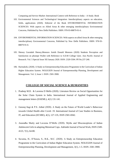Computing and Service Market: International Context with Reference to India—A Study. Book

- 103. Environmental Sciences and Technological Integration: Interdisciplinary aspects on education, fields, applications (2020). Editorial of the Book ENVIRONMENTAL INFORMATION SCIENCES: With aspects on Allied Areas & other emerging interdisciplinary Environmental Concerns, Published by New Delhi Publishers. ISBN: 978-93-88879-91-0.
- 104. ENVIRONMENTAL INFORMATION SCIENCES: With aspects on allied Areas & other emerging interdisciplinary Environmental Concerns, Published by New Delhi Publishers. ISBN: 978-93- 88879-91-0.
- 105. Shenoy Gurudath Shenoy,Menezes Amith Donald Menezes (2020) Students Perception and Satisfaction on phonepe Wallet with Reference to S.D.M College Ujire. Asis Pacific Journal of Research. Vol. 5 Special Issue XII January 2020. ISSN: 2320-5504. PP.No.237-240.
- 106. Harinakshi, (2020). A Study on Entrepreneurship Education Programme in the Curriculum of Indian Higher Education System. NOLEGEIN Journal of Entrepreneurship Planning, Development and Management. Vol. 3, Issue 1. ISSN: 2581-3900.

## **COLLEGE OF SOCIAL SCIENCE & HUMANITIES**

- 1. Pradeep M.D. & Laveena D Mello (2020). Literature Review on Social Opportunities for the Solar Chain System in India. International Journal of Applied Engineering and management letters (IJAEML), 4(1) 131-141.
- 2. Gururaj Itagi & P.S. Aithal (2020). A Study on the Future of World Leader's Behaviour towards Global Health after Covid- 19. International Journal of Case Studies in Business, IT, and Education (IJCSBE), 4(1), 127-135, ISSN 2581-6942.
- 3. Anuradha Shetty and Laveena D'Mello (2020). Myths and Misconceptions of Indian Adolescent Girls in adapting Menstrual Cups. Adelaide Journal of Social Work, ISSN 2349- 4123, 7(1), 64-80.
- 4. Suvarna, H., D'Souza, S., R.K., M.C. (2020). A Study on Entrepreneurship Education Programme in the Curriculum of Indian Higher Education System. NOLEGEIN Journal of Entrepreneurship Planning, Development and Management, 3(1), 1-5. ISSN: 2581-3900.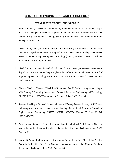## **COLLEGE OF ENGINEERING AND TECHNOLOGY**

#### **DEPARTMENT OF CIVIL ENGINEERING**

- 1. Bhavani Shankar, Dheekshith K, Manohara S, A comparative study on progressive collapse of steel and composite structure subjected to temperature load, International Research Journal of Engineering and Technology (IRJET), E-ISSN: 2395-0056, Volume: 07, Issue: 09, Sep 2020, 420-426.
- 2. Dheekshith K, Durga, Bhavani Shankar, Comparative Study of Regular And Irregular Plan Geometric Diagrid Structure on Varying Soil Stratum Under Lateral Loading, International Research Journal of Engineering And Technology (IRJET), E-ISSN: 2395-0056, Volume: 07, Issue: 11, Nov 2020,1626-1629.
- 3. Dheekshith K, Mrs. Shwetha Sankesh, Bhavani Shankar, Investigation on G+20 and G+30 diagrid structures with varied diagrid angles and modules. International Research Journal of Engineering And Technology (IRJET), E-ISSN: 2395-0056, Volume: 07, Issue: 11, Nov 2020, 1605-1611.
- 4. Bhavani Shankar, Thaheer, Dheekshith K, Shrinath Rao K, Study on progressive collapse of G+6 storey RC building, International Research Journal of Engineering and Technology (IRJET), E-ISSN: 2395-0056, Volume: 07, Issue: 12, Dec 2020, 129-134.
- 5. Ramakrishna Hegde, Bhavani shankar, Mohammed Farooq, Parametric study of RCC, steel and composite structures under seismic loading, International Research Journal of Engineering and Technology (IRJET), e-ISSN: 2395-0056, Volume: 07, Issue: 02, Feb 2020, 2658-2661.
- 6. Parag Kumar, Shilpa .S, Finite Element Analysis ff Cylindrical And Spherical Concrete Vaults, International Journal for Modern Trends in Science and Technology, June-2020, Page No-71.
- 7. Karthik N Aniga, Ibrahim Mahzeen, Mohammed Safan, Shaik Fazil M U, Shilpa S, Blast Analysis On In-Filled Steel Tube Columns, International Journal For Modern Trends In Science And Technology, June 2020, Page No. 50.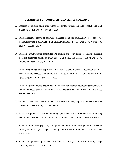#### **DEPARTMENT OF COMPUTER SCIENCE & ENGINEERING**

- 8. Santhosh S published paper titled "Smart Reader for Visually Impaired" published in IEEE ISBN:978-1-7281-5464-0, November 2020.
- 9. Shifana Begum, Security of data with enhanced technique of AASR Protocol for secure crosslayer routing in MANETS. PUBLISHED IN IJMTST ISSN: 2455-3778, Volume: 06, Issue No: 06, June 2020.
- 10. Shifana Begum Published paper titled "An efficient and secure timer based baiting approach to detect blackhole atatcks in MANETS PUBLISHED IN IJMTST, ISSN: 2455-3778, Volume: 06, Issue No: 06, June 2020.
- 11. Shifana Begum Published paper titled "Security of data with enhanced technique of AASR Protocol for secure cross layer routing in MANETS. PUBLISHED IN GRD Journal Volume 5 | Issue 7 | June 2020, ISSN- 2455-5703.
- 12. Shifana Begum Published paper titled" A survey on various multicast routing protocols with and without cross layer techniques in MANET Published in MANEGMA 2019 ISBN No.: 978-81-938040-9-4.
- 13. Santhosh S published paper titled "Smart Reader for Visually Impaired" published in IEEE ISBN:978-1-7281-5464-0, 10 November 2020.
- 14. Sudesh Rao published paper on, "Painting style of texture for virtual Dressing room using convolutional Neural Network", International Journal, IRJET, Volume 7 Issue 4 April 2020.
- 15. Sudesh Rao published paper on, "Computerized video Surveillance gadget for pedestrian crossing the use of Digital Image Processing", International Journal, IRJET, Volume 7 Issue 4 April 2020.
- 16. Sudesh Rao published paper on "Survivelence of Rouge Wild Animals Using Image Processing and IOT" at IEEE Xplorer.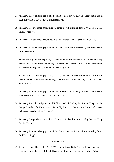- 17. Krishnaraj Rao published paper titled "Smart Reader for Visually Impaired" published in IEEE ISBN:978-1-7281-5464-0, November 2020.
- 18. Krishnaraj Rao published paper titled "Biometric Authentication for Safety Lockers Using Cardiac Vectors".
- 19. Krishnaraj Rao published paper titled WSN in Defense Field: A Security Overview.
- 20. Krishnaraj Rao published paper titled "A New Automated Electrical System using Smart Grid Technology".
- 21. Preethi Salian published paper on, "Identification of Adulteration in Rice Granules using Neural Network and Image processing", International Journal of Research in Engineering, Science and Management, Volume 3 Issue 5 May 2020.
- 22. Swarna H.R. published paper on, "Survey on Soil Classification and Crop Profit Determination Using Machine Learning", International Journal, IRJET, Volume 07, Issue 06 June 2020.
- 23. Krishnaraj Rao published paper titled "Smart Reader for Visually Impaired" published in IEEE ISBN:978-1-7281-5464-0, 10 November 2020.
- 24. Krishnaraj Rao published paper titled "Efficient Vehicle Parking Lot System Using Circular Hough Transform for Enhancement Smart City Program" International Journal of Science and Research (IJSR) ISSN: 2319-7064.
- 25. Krishnaraj Rao published paper titled "Biometric Authentication for Safety Lockers Using Cardiac Vectors".
- 26. Krishnaraj Rao published paper titled "A New Automated Electrical System using Smart Grid Technology".

### **CHEMISTRY**

27. Shenoy, S.U. and Bhat, D.K. (2020). "Vanadium Doped BaTiO3 as High Performance Thermoelectric Material: Role of Electronic Structure Engineering." Mat. Today.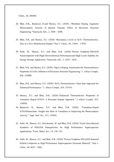Chem., 18, 100384.

- 28. Bhat, D.K., Bantawal, H.and Shenoy, S.U. (2020). "Rhodium Doping Augments Photocatalytic Activity of Barium Titanate: Effect of Electronic Structure Engineering."Nanoscale Adv., 2, 5688 – 5698.
- 29. Bhat, D.K. and Shenoy, S.U. (2020) "Resonance Levels in GeTe Thermoelectrics: Zinc as a New Multifaceted Dopant."New J. Chem., 44, 17664 – 17670.
- 30. Sethi, M., Shenoy, S.U. and Bhat, D.K. (2020)."Porous Graphene-NiFe2O4 Nanocomposite with High Electrochemical Performanceand High Cyclic Stability for Energy Storage Application."Nanoscale Adv., 2, 4229 – 4241.
- 31. Bhat, D.K. and Shenoy, S.U. (2020)."Mg/Ca Doping Ameliorates the Thermoelectrics Properties of GeTe: Influence of Electronic Structure Engineering." J. Alloys Compd., 834, 155989.
- 32. Bhat, D.K. and Shenoy, S.U. (2020)."SnTe Thermoelectrics: Dual Step Approach for Enhanced Performance." J. Alloys Compd., 834, 155181.
- 33. Shenoy, S.U. and Bhat, D.K. (2020)."Enhanced Thermoelectric Properties of Vanadium Doped SrTiO3: A Resonant Dopant Approach." J. Alloys Compd., 832, 154958.
- 34. Bantawal, H., Shenoy, S.U. and Bhat, D.K. (2020). "Vanadium-Doped SrTiO3Nanocubes: Insight into Role of Vanadium in Improving the Photocatalytic Activity." Appl. Surf. Sci., 513, 145858.
- 35. Sethi, M., Shenoy, S.U.,Selvakumar, M. and Bhat, D.K. (2020)."Facile Solvothermal Synthesis of NiFe2O4 Nanoparticles for High Performance Supercapacitor Applications."Front. Mater. Sci., 14, 120–132.
- 36. Sethi, M., Shenoy, S.U. and Bhat, D.K. (2020)."Porous Graphene-NiCo2O4 Nanorod Hybrid Composite as High Performance Supercapacitor Electrode Material." New J. Chem., 44, 4033 – 4041.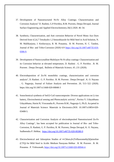- 37. Development of Nanostructured Ni-Fe Alloy Coatings; Characterisation and Corrosion Analysis" D. Rashmi, G.P.Pavithra, B.M. Praveen, Deepa Devapal, Journal Surface Engineering and Applied Electrochemistry,56(1) 2020. 46–54.
- 38. Synthesis, Characterization, and Anti corrosion Behavior of Novel Mono Azo Dyes Derived from 4,5,6,7 Tetrahydro 1,3 benzothiazole for Mild Steel in Acid Solution, N. M. Mallikarjuna, J. Keshavayya, B. M. Prasanna, B. M. Praveen, H. C. Tandon, Journal of Bio- and Tribo-Corrosion (2020) 6:9 [https://doi.org/10.1007/s40735-019-](https://doi.org/10.1007/s40735-019-0306-9) [0306-9.](https://doi.org/10.1007/s40735-019-0306-9)
- 39. Development of Nanocrystalline Multilayer Ni-Fe alloy coatings: Characterization and its Corrosion behavior at elevated temperature, D. Rashmi . G. P. Pavithra . B. M. Praveen . Deepa Devapal, Bulletin of Materials Science, 43 ,131 (2020).
- 40. Electrodeposition of Zn-Ni monolithic coatings, characterization and corrosion analysis", D. Rashmi . G. P. Pavithra . B. M. Praveen . Deepa Devapal . K. O. Nayana . G. Nagaraju, Journal of Failure Analysis and Prevention. 20, 513–522 (2020). https://doi.org/10.1007/s11668-020-00848-3
- 41. Sonochemical synthesis of SnO2-CuO nanocomposite: Diverse applications on Li-ion battery, Electrochemical sensing and Photocatalytic activity", Pavitra V; Udayabhanu Udayabhanu; Harini R; Viswanatha R.; Praveen B.M.; Nagaraju G, Ph.D, Accpeted in Journal of Materials Science: Materials in Electronics.DOI: 10.1007/s10854-020- 03408-5.
- 42. Characterization and Corrosion Analysis of electrodeposited Nanostructured Zn-Fe Alloy Coatings", has been accepted for publication in Journal of Bio- and Tribo-Corrosion, D. Rashmi, G. P. Pavithra, B. M. Praveen, Deepa Devapal, K. O. Nayana, Sudheendra P. Hebbar, <https://doi.org/10.1007/s40735-020-00380-9>
- 43. Electrochemical and Adsorption Studies of 4-Chloro,8-(Trifluoromethyl)Quinoline (CTQ) for Mild Steel in Acidic Medium Narayana Hebbar . B. M. Praveen . B. M. Prasanna . P. Vishwanath, [https://doi.org/10.1007/s11668-020-00944-4.](https://doi.org/10.1007/s11668-020-00944-4)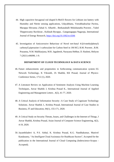- 44. High capacitive hexagonal rod shaped h-MoO3 flowers for Lithium ion battery with Humidity and Nitrite sensing applications, Udayabhanu, Veerabhadrachar Pavitra, Marappa Shivanna ,Fahad A. Alharthi , Beekanahalli Mokshanatha Praveen , Yaled Thippeswamy Ravikiran , Kullaiah Byrappa , Ganganagappa Nagaraju, International Journal of Energy Research,<https://doi.org/10.1002/er.6506>
- 45. Investigation of Anticorrosive Behaviour of Novel tert-butyl 4-[(4-methylphenyl) carbonyl] piperazine-1-carboxylate for Carbon Steel in 1M HCl, B.M. Praveen , B.M. Prasanna, N.M. Mallikarjuna, M.R. Jagadeesh, Narayana Hebbar, D. Rashmi, Heliyon 7 (2021) e06090, 1-9.

### **DEPARTMENT OF CLOUD TECHNOLOGY & DATA SCIENCE**

- 46. Future enhancements and propensities in forthcoming communication system–5G Network Technology, K Vikranth, JA Shathik, KK Prasad, Journal of Physics: Conference Series, 1712 (1), 2020.
- 47. A Literature Review on Application of Sentiment Analysis Using Machine Learning Techniques, Anvar Shathik J, Krishna Prasad K., International Journal of Applied Engineering and Management Letters , 4(2), 41-77, 2020.
- 48. A Critical Analysis of Information Security -A Case Study of Cognizant Technology Solutions. Anvar Shathik J., Krishna Prasad, International Journal of Case Studies in Business, IT and Education, 04(1), 155-171, 2020.
- 49. A Critical Study on Security Threats, Issues, and Challenges in the Internet of Things, J Anvar Shathik, Krishna Prasad, Asian Journal of Computer Science Engineering, 4(2), 4-19, 2020.
- 50. Jayanthiladevi A, P.S. Aithal, K. Krishna Prasad, K.G. Nandhakumar, Manivel Kandasamy, "An Intelligent Cloud Assistance for Healthcare Sectors", Accepted for the publication in the International Journal of Cloud Computing (Inderscience-Scopus - Accepted).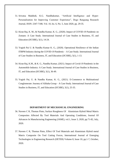- 51. Srivatsa Maddodi, K.G. Nandhakumar, "Artificial Intelligence and Hyper-Personalization for Improving Customer Experience", Dogo Rangsang Research Journal, ISSN: 2347-7180, Vol. 10, Iss. 6, No. 5, June 2020, pp. 29-35.
- 52. Kiran Raj, K. M., & Nandha Kumar, K. G., (2020). Impact of COVID-19 Pandemic on Zomato: A Case Study. International Journal of Case Studies in Business, IT, and Education (IJCSBE), 5(1), 14-24.
- 53. Yogish Pai U. & Nandha Kumar K. G., (2020). Operational Resilience of the Indian ITBPM Industry during the COVID-19 Pandemic – A Case Study. International Journal of Case Studies in Business, IT, and Education (IJCSBE), 5(1), 1-13.
- 54. Kiran Raj, K.M., & K. G., Nandha Kumar, (2021). Impact of Covid-19 Pandemic in the Automobile Industry: A Case Study. International Journal of Case Studies in Business, IT, and Education (IJCSBE), 5(1), 36-49.
- 55. Yogish Pai, U. & Nandha Kumar, K. G., (2021). E-Commerce to Multinational Conglomerate: Journey of Alibaba Group – A Case Study. International Journal of Case Studies in Business, IT, and Education (IJCSBE), 5(1), 25-35.

#### **DEPARTMENT OF MECHANICAL ENGINEERING**

- 56. Naveen C R, Thomas Pinto, Surface Roughness Of Aluminium Hybrid Metal Matrix Composites Affected By Tool Materials And Operating Conditions, Journal Of Advances In Manufacturing Engineering (JAME), vol.1, Issue 3, 2020, pp.71-82, July, 2020.
- 57. Naveen C R, Thomas Pinto, Effect Of Tool Materials and Aluminium Hybrid metal Matrix Composite On Tool Cutting Forces, International Journal of Emerging Technologies in Engineering Research (IJETER) Volume 8, Issue 10, pp.1-7, October, 2020.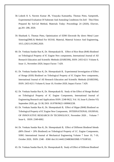- 58. Lokesh K S, Naveen Kumar JR, Vinayaka Kannantha, Thomas Pinto, Sampreeth, Experimental Evaluation Of Substrate And Annealing Conditions On ZnO Thin Films Prepared By Sol-Gel Method, Materials Today: Proceedings 24 (2020), Elsevier, pp.201–208, 2020.
- 59. Shashank S, Thomas Pinto, Optimization of EDM Electrode By direct Metal Laser Sintering(DMLS) Method For SS316L Material, Material Science And Engineering, 1013, (2021) 012002,2020.
- 60. Dr. Venkata Sundar Rao K, Dr. Shreeprakash B, Effect of Rice Bran (R40) Biodiesel on Tribological Property of IC Engine New components, International Journal of All Research Education and Scientific Methods (IJARESM), ISSN: 2455-6211 Volume 8, Issue 11, November-2020, Impact Factor: 7.429.
- 61. Dr. Venkata Sundar Rao K, Dr. Shreeprakash B, Experimental Investigation of Effect of Honge (H30) Biodiesel on Tribological Property of IC Engine New components, International Journal of All Research Education and Scientific Methods (IJARESM), ISSN: 2455-6211 Volume 8, Issue 10, October-2020, Impact Factor: 7.429.
- 62. Dr. Venkata Sundar Rao K, Dr. Shreeprakash B, Study of the Effect of Honge Biofuel on Tribological Property of IC Engine Components, International Journal of Engineering Research and Applications ISSN: 2248-9622, Vol. 10, Issue 9, (Series-VI) September 2020, pp. 32-38, DOI: 10.9790/9622-1009063238.
- 63. Dr. Venkata Sundar Rao K, Dr. Shreeprakash B, Effect of Hippe (M40) Biodiesel on Tribological Property of IC Engine New Components, INTERNATIONAL JOURNAL OF INNOVATIVE RESEARCH IN TECHNOLOGY, November 2020 , Volume 7 Issue 6, ISSN: 2349-6002.
- 64. Dr. Venkata Sundar Rao K, Dr. Shreeprakash B, Effect of Different Biodiesel blends (80% Diesel + 20% Biodiesel) on Tribological Property of I.C. Engine Components, SSRG International Journal of Mechanical Engineering Volume 7 Issue 10, 7-10, October 2020, ISSN: 2348 – 8360 /doi:10.14445/23488360/IJME-V7I10P102.
- 65. Dr. Venkata Sundar Rao K, Dr. Shreeprakash B, Study of Effect of Different Biodiesel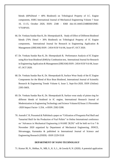blends (60%Diesel + 40% Biodiesel) on Tribological Property of I.C. Engine components, SSRG International Journal of Mechanical Engineering Volume 7 Issue 10, 11-15, October 2020, ISSN: 2348 – 8360 /doi:10.14445/23488360/IJME-V7I10P103.

- 66. Dr. Venkata Sundar Rao K, Dr. Shreeprakash B, Study of Effect of Different Biodiesel blends (70% Diesel + 30% Biodiesel) on Tribological Property of IC Engine components, International Journal for Research in Engineering Application & Management (IJREAM) ISSN : 2454-9150 Vol-06, Issue-07, OCT 2020.
- 67. Dr. Venkata Sundar Rao K, Dr. Shreeprakash B, Performance Analysis of IC Engine using Rice bran Biodiesel (R40) by Combustion test, International Journal for Research in Engineering Application & Management (IJREAM) ISSN : 2454-9150 Vol-06, Issue-07, OCT 2020.
- 68. Dr. Venkata Sundar Rao K, Dr. Shreeprakash B, Surface Wear Study of the IC Engine Components for the Blend of Rice Bran Biodiesel, International Journal of Scientific Research & Engineering Trends Volume 6, Issue 5, Sept-Oct-2020, ISSN (Online): 2395-566X.
- 69. Dr. Venkata Sundar Rao K, Dr. Shreeprakash B, Surface wear study of piston ring for different blends of biodiesel in IC engine, International Research Journal of Modernization in Engineering Technology and Science Volume:02/Issue:11/November -2020 Impact Factor- 5.354, e-ISSN: 2582-5208.
- 70. Amruth C H, Presented & Published a paper on "Utilization of Pongamia Pod Shell and Tamarind Shell for the Production of Fuel Pellets" in Online International conference on "Advances in Mechanical Engineering (i-NAME 2K20)" will be held on 6 to 7 th November 2020 organized by Department of Mechanical Engineering, JNNCE, Shivamogga, Karnataka & published in International Journal of Science and Engineering Research (IJSER) –ISSN 2229-5518

#### **DEPARTMENT OF NANO TECHNOLOGY**

71. Kumar JR, N., Hebbar, N., MB, S., K. S, L., & Gowda N, N. (2020). A potential application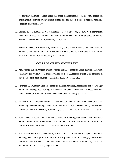of polyethyleneimine-reduced graphene oxide nanocomposite sensing film coated on interdigitated electrode prepared from copper-clad for carbon dioxide detection. Materials Research Innovations, 1-9.

- 72. Lokesh, K. S., Kumar, J. N., Kannantha, V., & Sampreeth, U. (2020). Experimental evaluation of substrate and annealing conditions on ZnO thin films prepared by sol-gel method. Materials Today: Proceedings, 24, 201-208.
- 73. Naveen Kumar J. R. Lokesh K S, Vishwas. S. (2020). Effect of Iron Oxide Nano Particles on Biogas Production and Study of Microbial Analysis and its Slurry uses in Agricultural Field. GRD Journal for Engineering, 5, 11, 33-37.

# **COLLEGE OF PHYSIOTHERAPY**

- 1. Ajay Kumar, Kinari Pithadia, Deepak Kumar, Sannasi Rajasekar, Cross-cultural adaptation, reliability, and validity of Kannada version of Fear Avoidance Belief Questionnaire in chronic low back pain, Journal of Bhahiana, 2020, 10(4), 610-618.
- 2. Ravindra C. Thummar, Sannasi Rajaseker, Ranjith Anumasa, Association between trigger points in hamstring, posterior leg, foot muscles and plantar fasciopathy: A cross- sectional study, Journal of Bodywork & Movement Therapies, 24 (2020), 373-378.
- 3. Shalaka Baidya, Thrishala Noronha, Anisha Masood, Hiral Katakia, Prevalence of sensory processing disorder among school going children in north eastern India, International Journal of Scientific Research, Volume  $-9$ , Issue  $-7$ , July  $-2020$ , ISSN No. 2277  $-8179$
- 4. Ilona Gracie De Souza1, Pavan Kumar G., Effect of Releasing Myofascial Chain in Patients with Patellofemoral Pain Syndrome - A Randomized Clinical Trial, International Journal of Current Research and Review, Vol. 12, Issue 08, April 2020.
- 5. Ilona Gracie De Souza1, Deeksha K, Pavan Kumar G., Overview on aquatic therapy in reducing pain and improving quality of life in patients with fibromyalgia, International Journal of Medical Science and Advanced Clinical Research, Volume – 3, Issue – 5, September - October - 2020, Page No: 104 – 112.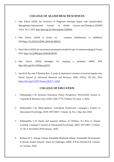### **COLLEGE OF ALLIED HEALTH SCIENCES**

- 1. Dias Edwin (2020) An Overview of Diagnosis Neonatal Sepsis with Antimicrobial, Management International Journal of Health sciences and Pharmacy (IJHSP) Vol.4, No.1, DOI: [http://doi.org/10.5281/zenodo.3766836.](http://doi.org/10.5281/zenodo.3766836)
- 2. Dias Edwin. (2020) A review on common anthelmintics in childhood, DOI[:http://10.33552/GJPNC.2020.02.000533](http://10.0.131.16/GJPNC.2020.02.000533)
- 3. Dias Edwin (2020) An uncommon presentation double H type of tracheoesophageal Fistula, DOI: [http://10.15406/ipcb.2020.06.00193](http://10.0.60.46/ipcb.2020.06.00193)
- 4. Dias Edwin, (2020) Strategies for stopping a pandemic eBMJ, DOI: <http://doi.org/10.1136/bmj.m2376>
- 5. Suresh R Rao and T Ramesh Rao, A study of anatomical variation of external jugular vein, World Journal of Advanced Research and Reviews, 2020, 07(01), 197-201, DOI: [https://doi.org/10.30574/wjarr.2020.7.1.0252.](https://doi.org/10.30574/wjarr.2020.7.1.0252)

# **COLLEGE OF EDUCATION**

- 1. Padmanabha C.H, Inclusive Education: Policy Perspective, NOLEGEIN Journal of Corporate & Business Laws, ISSN- 2581-7779, Volume: 03, Issue: 2, 2020.
- 2. Padmanabha C.H, Metacognition: Conceptual Framework, i-manager's Journal on Educational Psychology, ISSN- 0973-8827, Volume 14, No.1, May-July 2020.
- 3. Padmanabha C.H, Innate and acquired abilities of Children: It's Role in Human Learning, i-manager's Journal on Educational Psychology, ISSN- 0973-8827, Volume: 13, No.3, November-2019-January- 2020.
- 4. Reshma M Y, Samaja Vijnana Patyadalli Moulyada Sthana, Sustainable Development in Recent Global scenario- Issues & Challenges, ISBN- 978-81-945326-0-6, Volume: 01, October, 2020.